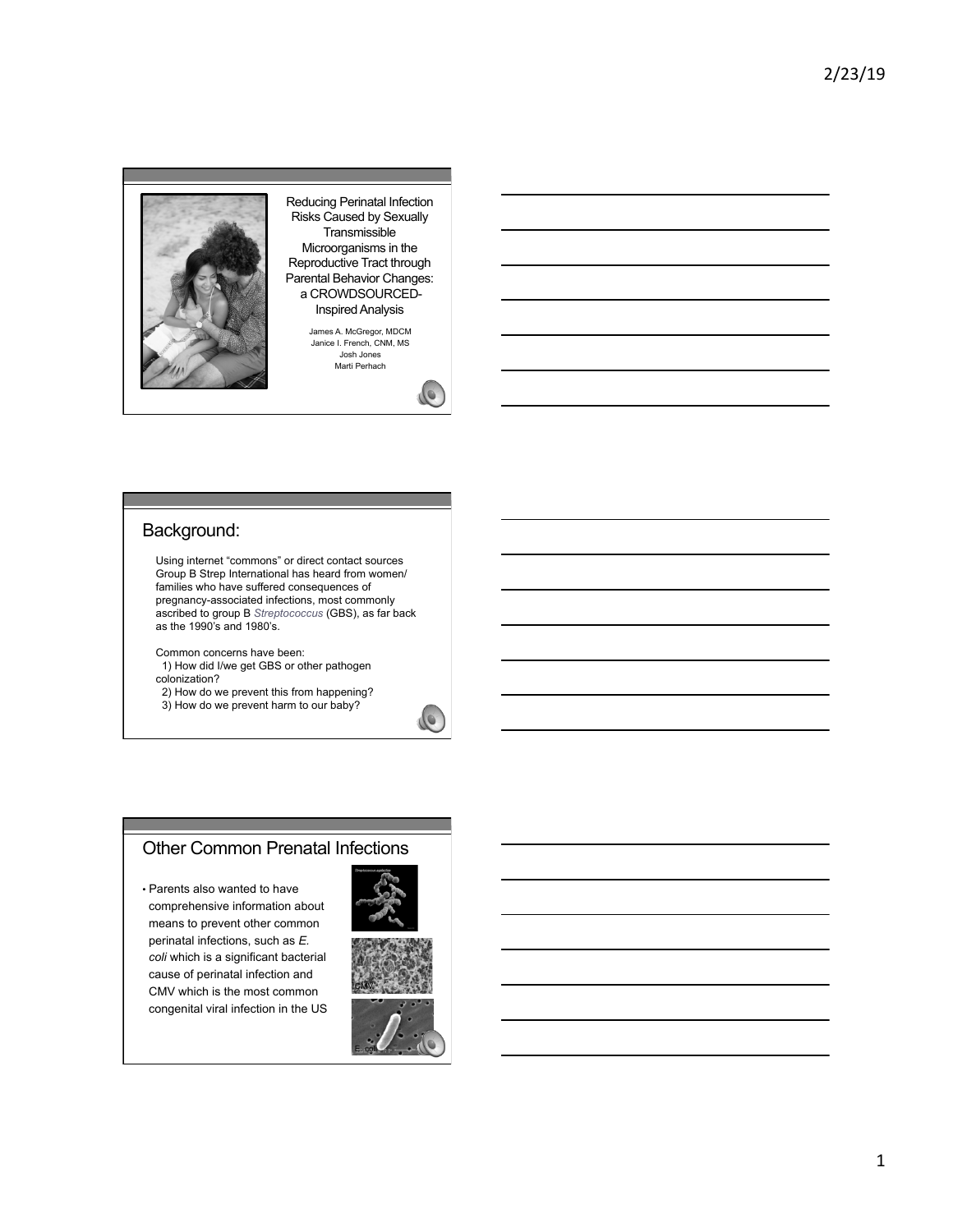

Reducing Perinatal Infection Risks Caused by Sexually **Transmissible** Microorganisms in the Reproductive Tract through Parental Behavior Changes: a CROWDSOURCED-Inspired Analysis

> James A. McGregor, MDCM Janice I. French, CNM, MS Josh Jones Marti Perhach



### Background:

Using internet "commons" or direct contact sources Group B Strep International has heard from women/ families who have suffered consequences of pregnancy-associated infections, most commonly ascribed to group B *Streptococcus* (GBS), as far back as the 1990's and 1980's.

Common concerns have been: 1) How did I/we get GBS or other pathogen colonization?

2) How do we prevent this from happening?

3) How do we prevent harm to our baby?

### Other Common Prenatal Infections

• Parents also wanted to have comprehensive information about means to prevent other common perinatal infections, such as *E. coli* which is a significant bacterial cause of perinatal infection and CMV which is the most common congenital viral infection in the US



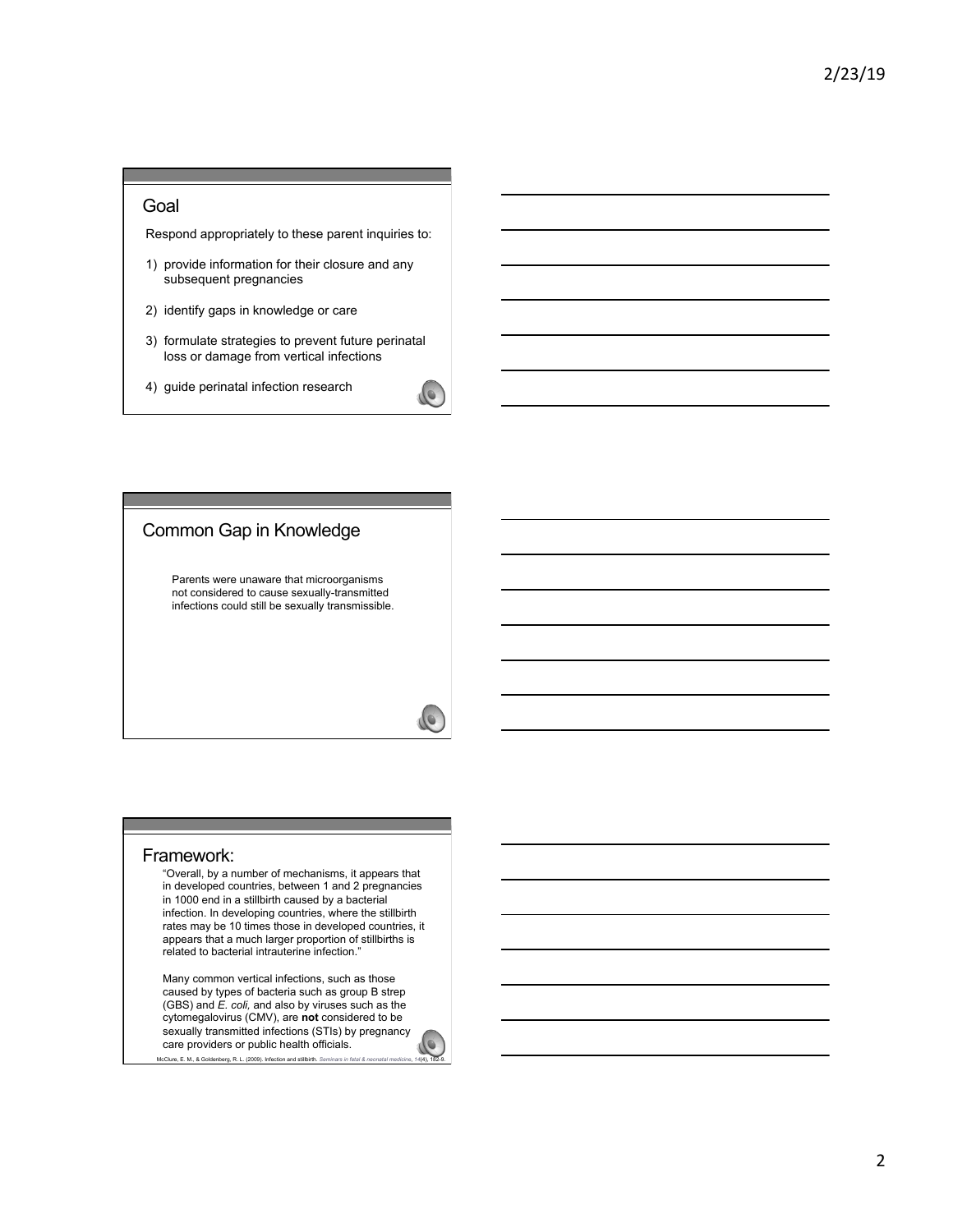### Goal

Respond appropriately to these parent inquiries to:

- 1) provide information for their closure and any subsequent pregnancies
- 2) identify gaps in knowledge or care
- 3) formulate strategies to prevent future perinatal loss or damage from vertical infections
- 4) guide perinatal infection research

# Common Gap in Knowledge

Parents were unaware that microorganisms not considered to cause sexually-transmitted infections could still be sexually transmissible.

#### Framework:

"Overall, by a number of mechanisms, it appears that in developed countries, between 1 and 2 pregnancies in 1000 end in a stillbirth caused by a bacterial infection. In developing countries, where the stillbirth rates may be 10 times those in developed countries, it appears that a much larger proportion of stillbirths is related to bacterial intrauterine infection.

Many common vertical infections, such as those caused by types of bacteria such as group B strep (GBS) and *E. coli,* and also by viruses such as the cytomegalovirus (CMV), are **not** considered to be sexually transmitted infections (STIs) by pregnancy care providers or public health officials.

McClure, E. M., & Goldenberg, R. L. (2009). Infection and stillbirth. Seminars in fetal in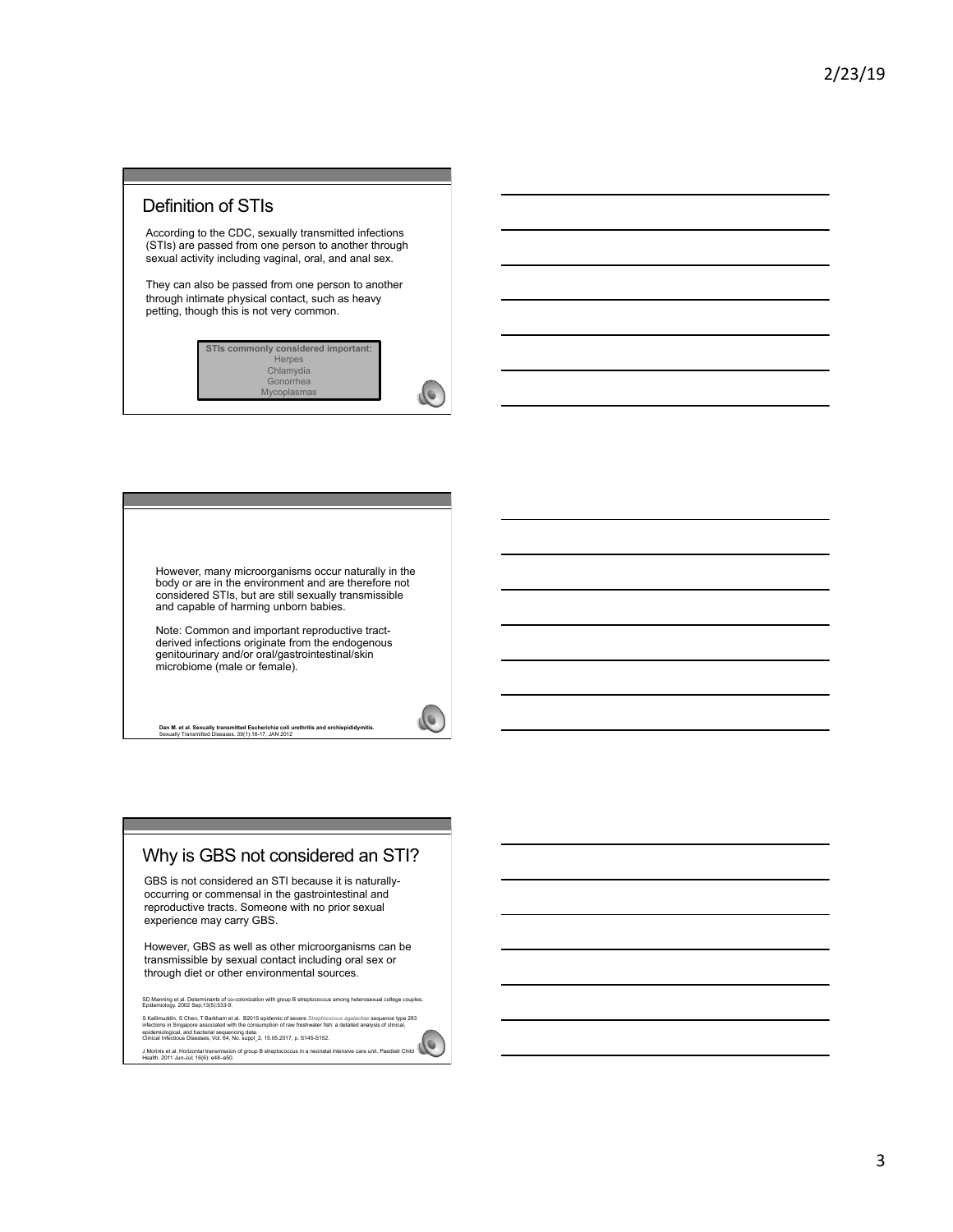# Definition of STIs

According to the CDC, sexually transmitted infections (STIs) are passed from one person to another through sexual activity including vaginal, oral, and anal sex.

They can also be passed from one person to another through intimate physical contact, such as heavy petting, though this is not very common.



However, many microorganisms occur naturally in the body or are in the environment and are therefore not considered STIs, but are still sexually transmissible and capable of harming unborn babies.

Note: Common and important reproductive tract-derived infections originate from the endogenous genitourinary and/or oral/gastrointestinal/skin microbiome (male or female).

**Dan M. et al. Sexually transmitted Escherichia coli urethritis and orchiepididymitis.**  Sexually Transmitted Diseases. 39(1):16-17, JAN 2012

 $\sqrt{\phantom{.}}$ 

# Why is GBS not considered an STI?

GBS is not considered an STI because it is naturallyoccurring or commensal in the gastrointestinal and reproductive tracts. Someone with no prior sexual experience may carry GBS.

However, GBS as well as other microorganisms can be transmissible by sexual contact including oral sex or through diet or other environmental sources.

SD Manning et al. Determinants of co-colonization with group B streptococcus among heterosexual college couples. Epidemiology. 2002 Sep;13(5):533-9.

S Kallimuddin, S Chen, T Barkham et al. B2015 epidemic of severe S/reptococcus agalactiae sequence type 283<br>infections in Singapore associated with the consumption of raw freshwater fish: a detailed analysis of clinical,<br>

J Morinis et al. Horizontal transmission of group B streptococcus in a neonatal intensive care unit. Paediatr Child Health. 2011 Jun-Jul; 16(6): e48–e50.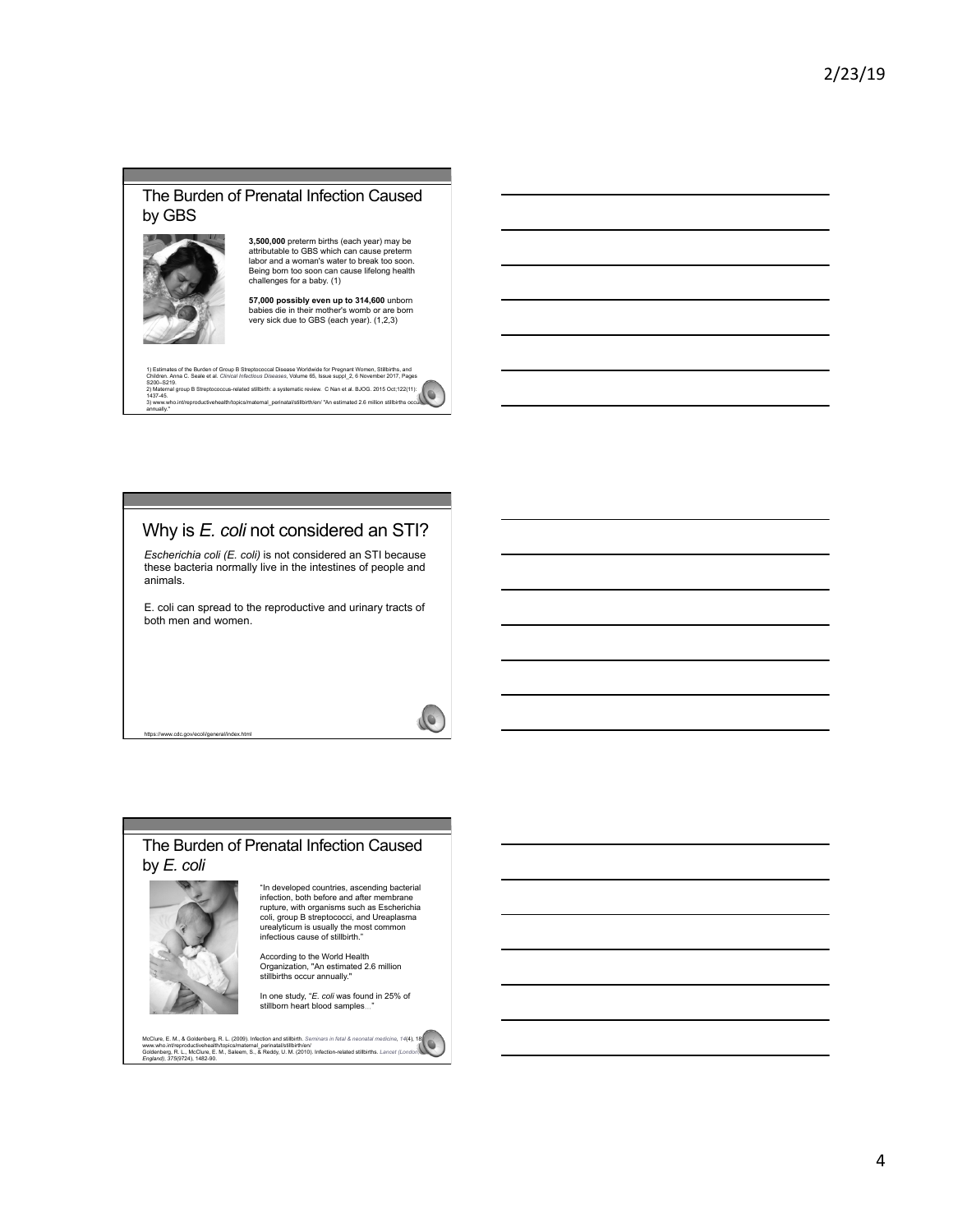### The Burden of Prenatal Infection Caused by GBS



**3,500,000** preterm births (each year) may be attributable to GBS which can cause preterm labor and a woman's water to break too soon. Being born too soon can cause lifelong health challenges for a baby. (1)

**57,000 possibly even up to 314,600** unborn babies die in their mother's womb or are born very sick due to GBS (each year). (1,2,3)

1) Estimates of the Burden of Group B Streptococcal Disease Worldwide for Pregnant Women, Stillichths, and<br>Children. Anna C. Seale et al. *Clinical Infectious Diseases,* Volume 65, Issue suppl\_2, 6 November 2017, Pages<br>2) 1437-45. 3) www.who.int/reproductivehealth/topics/maternal\_perinatal/stillbirth/en/ "An estimated 2.6 million stillbirths occur annually."

# Why is *E. coli* not considered an STI?

*Escherichia coli (E. coli)* is not considered an STI because these bacteria normally live in the intestines of people and animals.

E. coli can spread to the reproductive and urinary tracts of both men and women.

### The Burden of Prenatal Infection Caused by *E. coli*



https://www.cdc.gov/ecoli/general/index.html

"In developed countries, ascending bacterial infection, both before and after membrane rupture, with organisms such as Escherichia coli, group B streptococci, and Ureaplasma urealyticum is usually the most common infectious cause of stillbirth."

According to the World Health Organization, "An estimated 2.6 million stillbirths occur annually."

In one study, "*E. coli* was found in 25% of stillborn heart blood samples…"

McClure, E. M., & Goldenberg, R. L., (2009). Infection and stillbrith. Seminars in fetal & neonatal medicine, 14(4), 18)<br>www.who.int/reproductivehealth/topics/maternal\_perinatal/stillbirth/en/<br>Gnoland), 375(9724), 1482-90.



 $\sqrt{2}$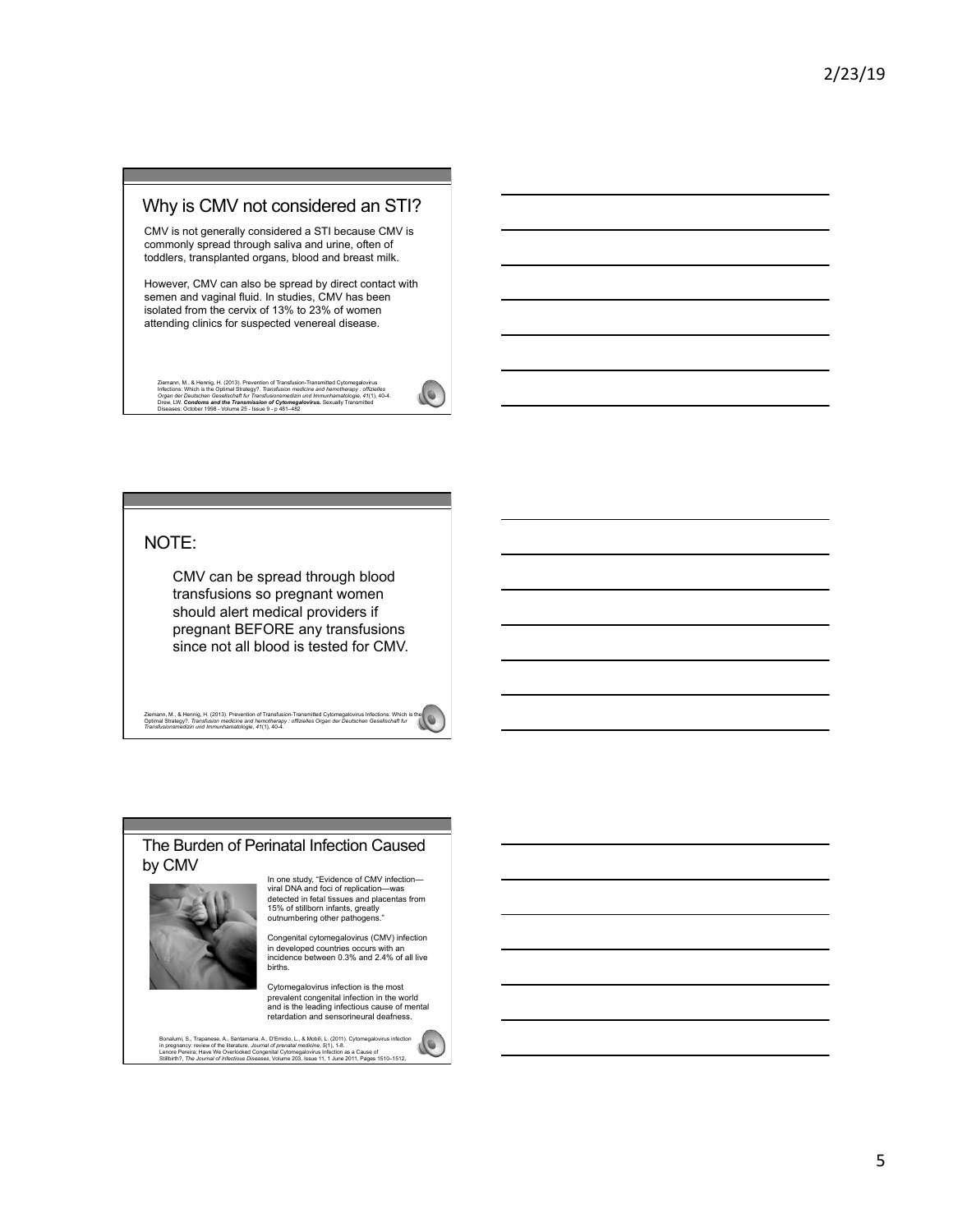### Why is CMV not considered an STI?

CMV is not generally considered a STI because CMV is commonly spread through saliva and urine, often of toddlers, transplanted organs, blood and breast milk.

However, CMV can also be spread by direct contact with semen and vaginal fluid. In studies, CMV has been isolated from the cervix of 13% to 23% of women attending clinics for suspected venereal disease.

Ziemann, M., & Hennig, H. (2013). Prevention of Transfusion-Transmitted Cytomegalovirus<br>Infections: Which is the Optimal Strategy?. Transfusion medicine and hemotherapy : offizielles<br>Organ der Deutschen Gesellschaft fur Tr

### NOTE:

CMV can be spread through blood transfusions so pregnant women should alert medical providers if pregnant BEFORE any transfusions since not all blood is tested for CMV.

Ziemann, M., & Hennig, H. (2013). Prevention of Transfusion-Transmitted Cytomegalovirus Infections: Which is the<br>Optimal Strategy?. Transfusion medicine and hemotherapy : offizielles Organ der Deutschen Gesellschaft fur<br>Tr

#### The Burden of Perinatal Infection Caused by CMV



In one study, "Evidence of CMV infection— viral DNA and foci of replication—was detected in fetal tissues and placentas from 15% of stillborn infants, greatly outnumbering other pathogens."

Congenital cytomegalovirus (CMV) infection in developed countries occurs with an incidence between 0.3% and 2.4% of all live births.

Cytomegalovirus infection is the most prevalent congenital infection in the world and is the leading infectious cause of mental retardation and sensorineural deafness.

Bonalumi, S., Trapanese, A., Santamaria, A., D'Emidio, L., & Mobili, L. (2011). Cytomegalovirus infection<br>In pregnancy: review of the literature. Journal of prenatal medicine, S(1), 1-8.<br>Lentore Pereira; Have We Overlooks



LO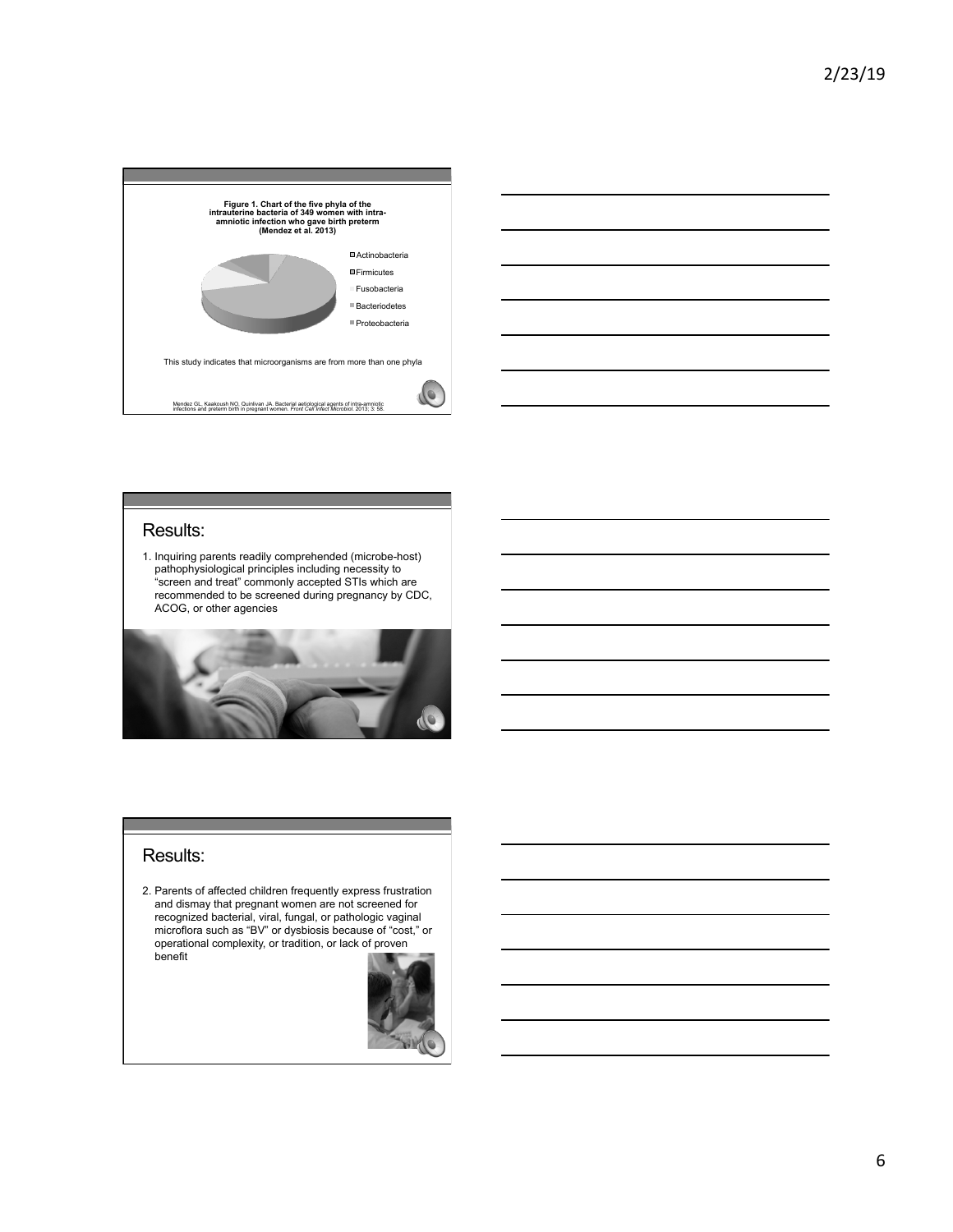



### Results:

1. Inquiring parents readily comprehended (microbe-host) pathophysiological principles including necessity to "screen and treat" commonly accepted STIs which are recommended to be screened during pregnancy by CDC, ACOG, or other agencies



### Results:

2. Parents of affected children frequently express frustration and dismay that pregnant women are not screened for recognized bacterial, viral, fungal, or pathologic vaginal microflora such as "BV" or dysbiosis because of "cost," or operational complexity, or tradition, or lack of proven benefit

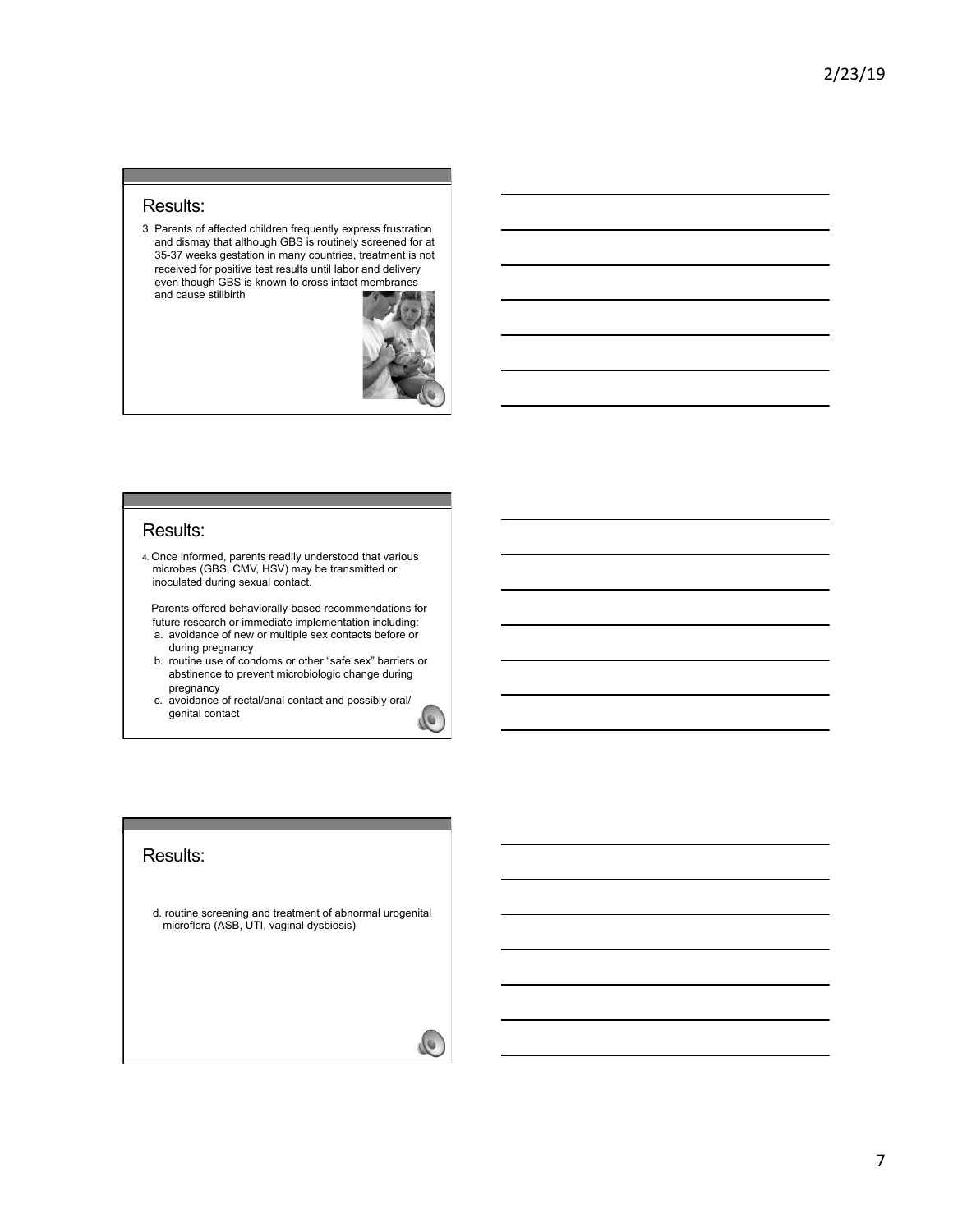### Results:

3. Parents of affected children frequently express frustration and dismay that although GBS is routinely screened for at 35-37 weeks gestation in many countries, treatment is not received for positive test results until labor and delivery even though GBS is known to cross intact membranes and cause stillbirth



### Results:

4. Once informed, parents readily understood that various microbes (GBS, CMV, HSV) may be transmitted or inoculated during sexual contact.

 Parents offered behaviorally-based recommendations for future research or immediate implementation including: a. avoidance of new or multiple sex contacts before or

- during pregnancy b. routine use of condoms or other "safe sex" barriers or
- abstinence to prevent microbiologic change during pregnancy
- c. avoidance of rectal/anal contact and possibly oral/ genital contact

### Results:

d. routine screening and treatment of abnormal urogenital microflora (ASB, UTI, vaginal dysbiosis)

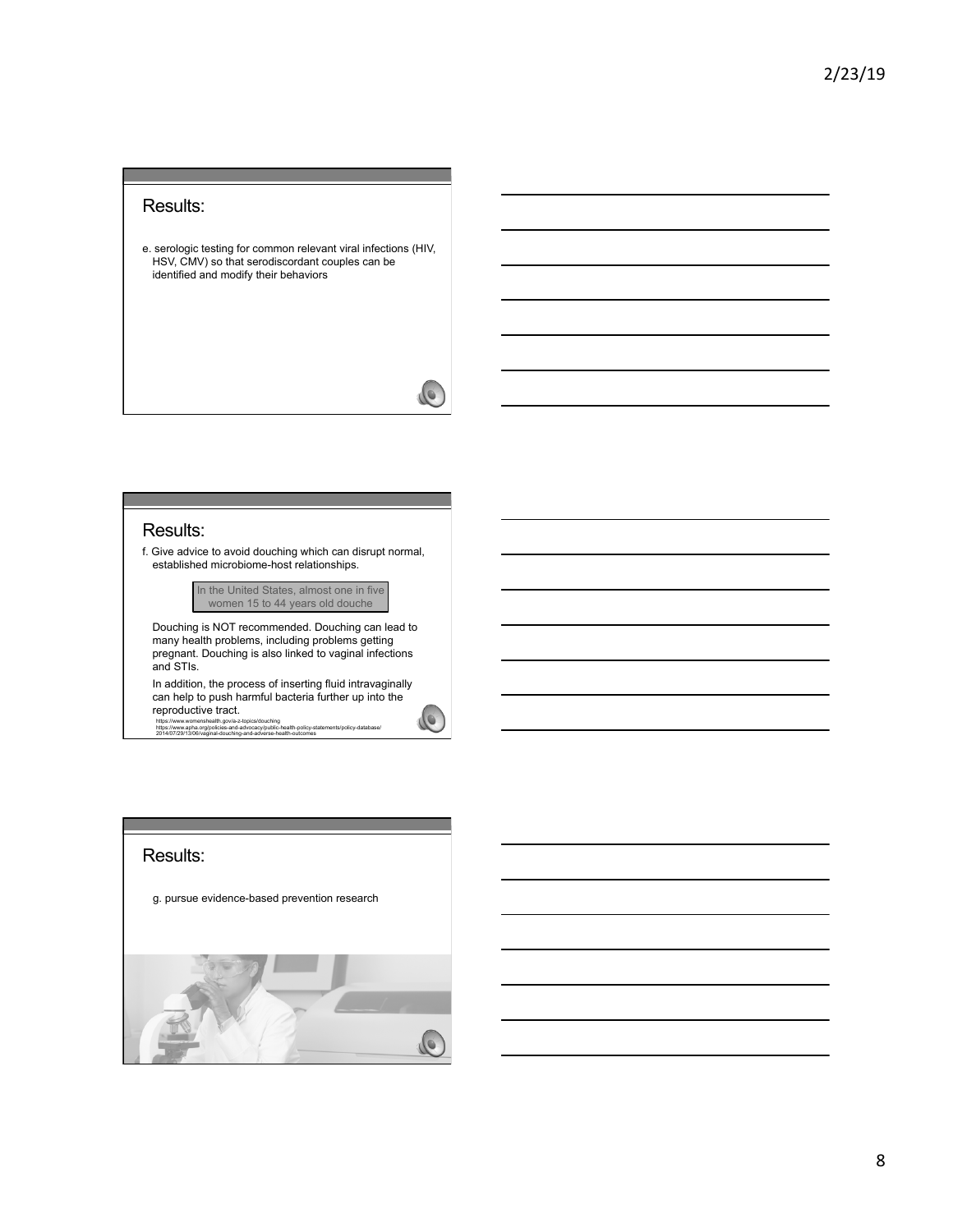### Results:

e. serologic testing for common relevant viral infections (HIV, HSV, CMV) so that serodiscordant couples can be identified and modify their behaviors

### Results:

f. Give advice to avoid douching which can disrupt normal, established microbiome-host relationships.

> In the United States, almost one in five women 15 to 44 years old douche

Douching is NOT recommended. Douching can lead to many health problems, including problems getting pregnant. Douching is also linked to vaginal infections and STIs.

In addition, the process of inserting fluid intravaginally can help to push harmful bacteria further up into the reproductive tract.

https://www.womenshealth.gov/a-z-topics/douching https://www.apha.org/policies-and-advocacy/public-health-policy-statements/policy-database/ 2014/07/29/13/06/vaginal-douching-and-adverse-health-outcomes

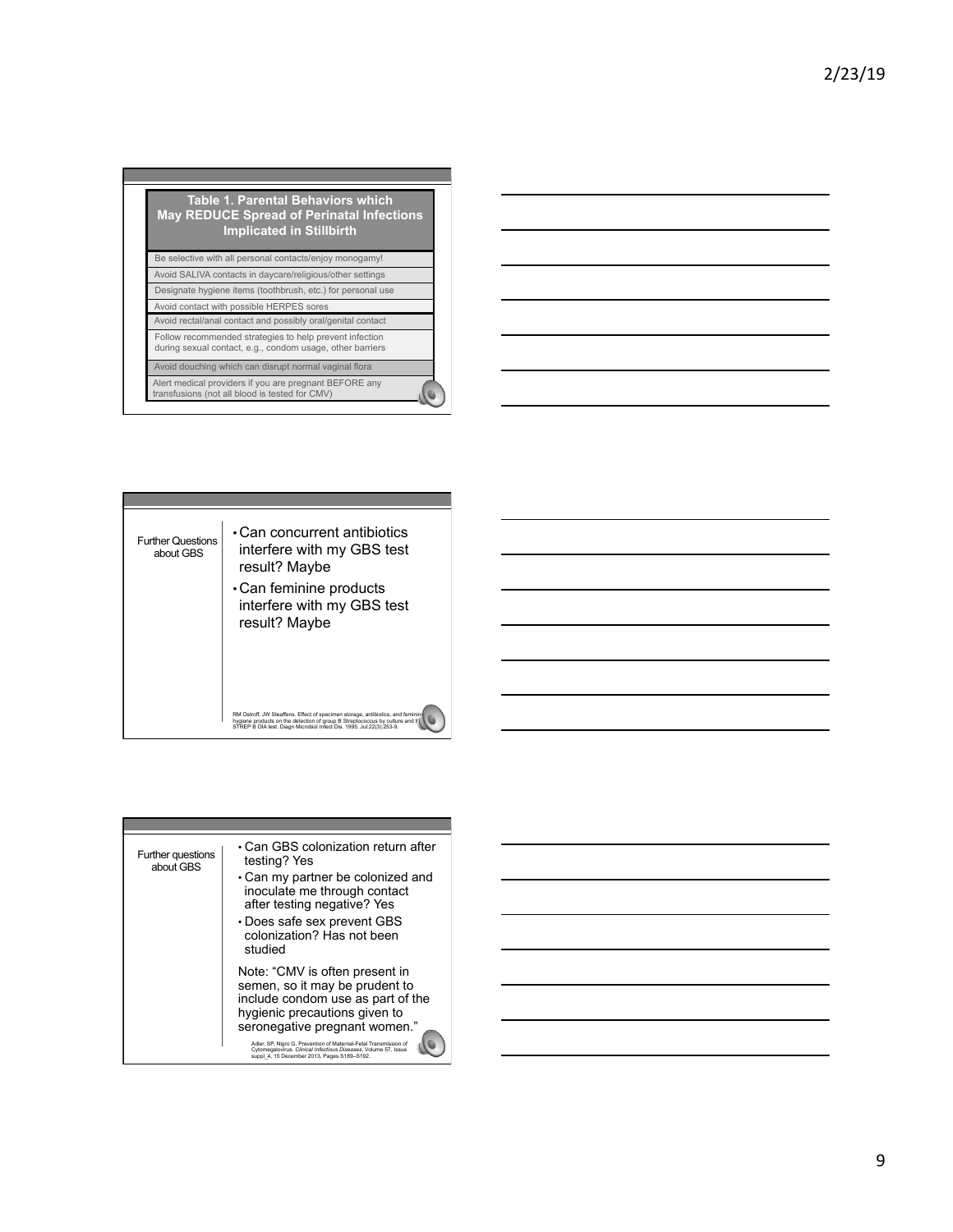| <b>Table 1. Parental Behaviors which</b><br><b>May REDUCE Spread of Perinatal Infections</b><br><b>Implicated in Stillbirth</b> |  |
|---------------------------------------------------------------------------------------------------------------------------------|--|
| Be selective with all personal contacts/enjoy monogamy!                                                                         |  |
| Avoid SALIVA contacts in daycare/religious/other settings                                                                       |  |
| Designate hygiene items (toothbrush, etc.) for personal use                                                                     |  |
| Avoid contact with possible HERPES sores                                                                                        |  |
| Avoid rectal/anal contact and possibly oral/genital contact                                                                     |  |
| Follow recommended strategies to help prevent infection<br>during sexual contact, e.g., condom usage, other barriers            |  |
| Avoid douching which can disrupt normal vaginal flora                                                                           |  |
| Alert medical providers if you are pregnant BEFORE any<br>transfusions (not all blood is tested for CMV)                        |  |





| Further questions<br>about GBS | • Can GBS colonization return after<br>testing? Yes<br>• Can my partner be colonized and<br>inoculate me through contact<br>after testing negative? Yes<br>• Does safe sex prevent GBS<br>colonization? Has not been<br>studied                                                                                                                               |
|--------------------------------|---------------------------------------------------------------------------------------------------------------------------------------------------------------------------------------------------------------------------------------------------------------------------------------------------------------------------------------------------------------|
|                                | Note: "CMV is often present in<br>semen, so it may be prudent to<br>include condom use as part of the<br>hygienic precautions given to<br>seronegative pregnant women."<br>Adler, SP, Nigro G. Prevention of Maternal-Fetal Transmission of<br>Cytomegalovirus, Clinical Infectious Diseases, Volume 57, Issue<br>suppl 4. 15 December 2013. Pages S189-S192. |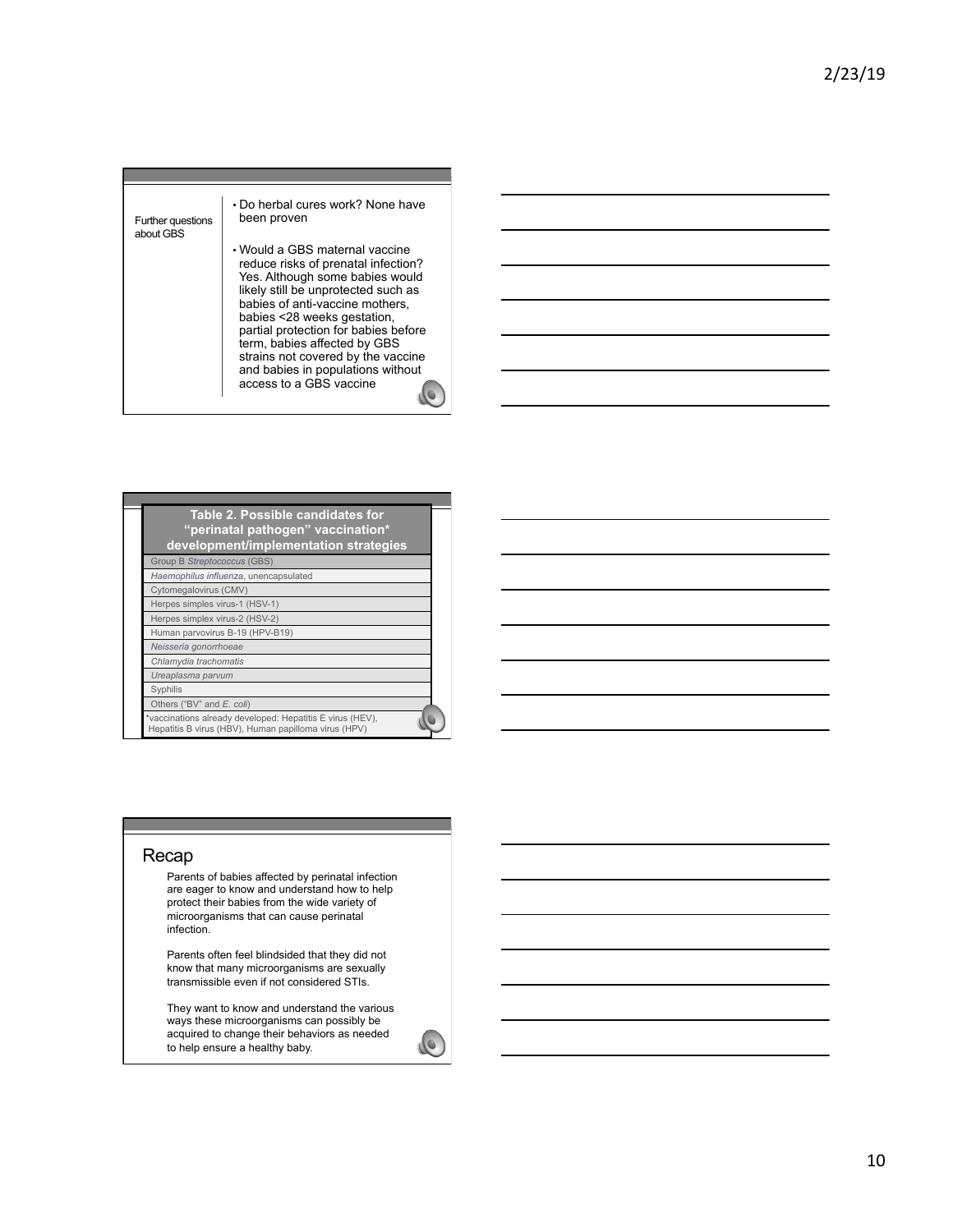

| Table 2. Possible candidates for<br>"perinatal pathogen" vaccination*<br>development/implementation strategies    |  |
|-------------------------------------------------------------------------------------------------------------------|--|
| Group B Streptococcus (GBS)                                                                                       |  |
| Haemophilus influenza, unencapsulated                                                                             |  |
| Cytomegalovirus (CMV)                                                                                             |  |
| Herpes simples virus-1 (HSV-1)                                                                                    |  |
| Herpes simplex virus-2 (HSV-2)                                                                                    |  |
| Human parvovirus B-19 (HPV-B19)                                                                                   |  |
| Neisseria gonorrhoeae                                                                                             |  |
| Chlamydia trachomatis                                                                                             |  |
| Ureaplasma parvum                                                                                                 |  |
| Syphilis                                                                                                          |  |
| Others ("BV" and E. coli)                                                                                         |  |
| *vaccinations already developed: Hepatitis E virus (HEV),<br>Hepatitis B virus (HBV), Human papilloma virus (HPV) |  |

### Recap

Parents of babies affected by perinatal infection are eager to know and understand how to help protect their babies from the wide variety of microorganisms that can cause perinatal infection.

Parents often feel blindsided that they did not know that many microorganisms are sexually transmissible even if not considered STIs.

They want to know and understand the various ways these microorganisms can possibly be acquired to change their behaviors as needed to help ensure a healthy baby.

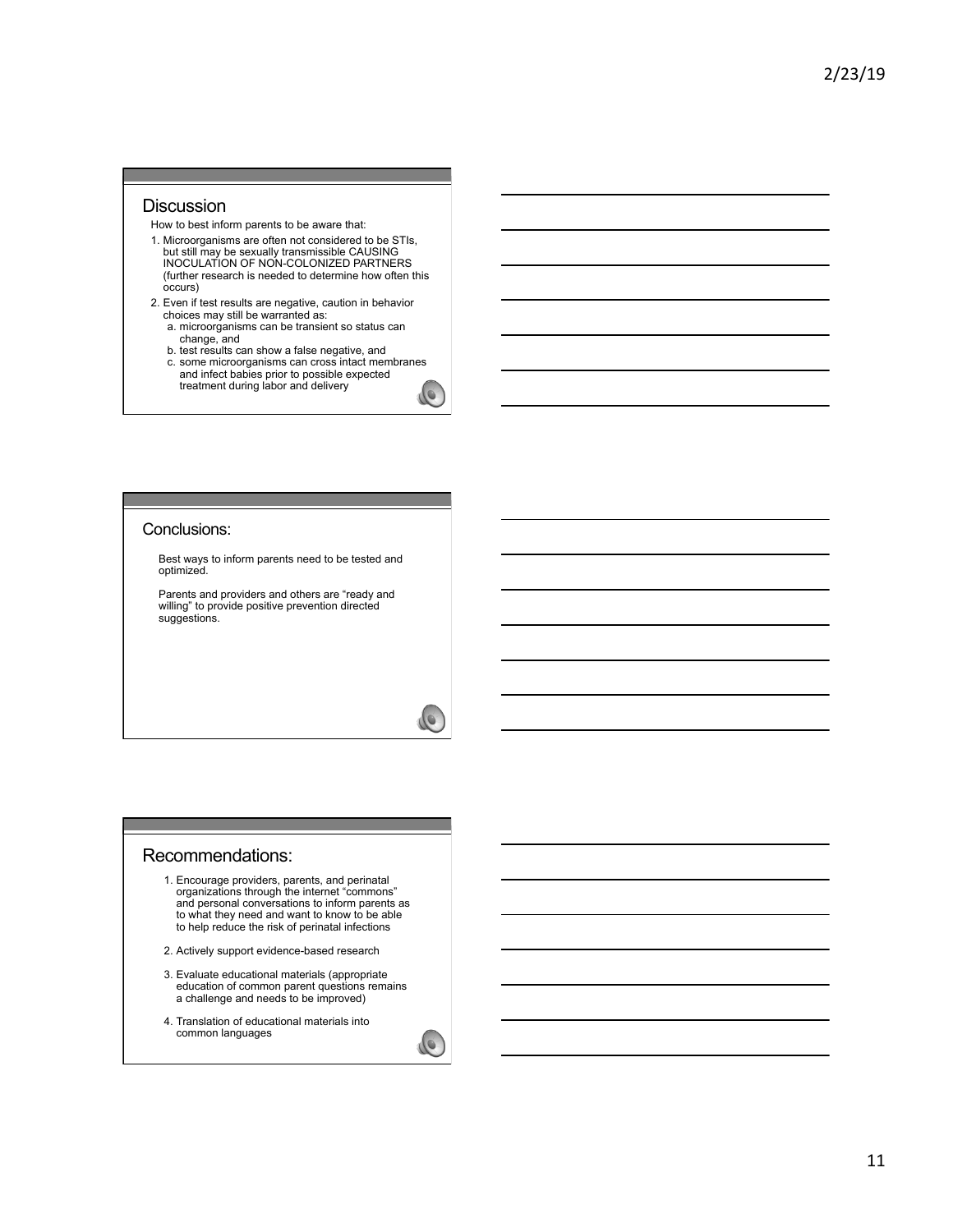### **Discussion**

How to best inform parents to be aware that:

- 1. Microorganisms are often not considered to be STIs, but still may be sexually transmissible CAUSING INOCULATION OF NON-COLONIZED PARTNERS (further research is needed to determine how often this occurs)
- 2. Even if test results are negative, caution in behavior choices may still be warranted as: a. microorganisms can be transient so status can
	-
	- change, and b. test results can show a false negative, and c. some microorganisms can cross intact membranes and infect babies prior to possible expected treatment during labor and delivery

### Conclusions:

Best ways to inform parents need to be tested and optimized.

Parents and providers and others are "ready and willing" to provide positive prevention directed suggestions.

#### Recommendations:

- 1. Encourage providers, parents, and perinatal organizations through the internet "commons" and personal conversations to inform parents as to what they need and want to know to be able to help reduce the risk of perinatal infections
- 2. Actively support evidence-based research
- 3. Evaluate educational materials (appropriate education of common parent questions remains a challenge and needs to be improved)
- 4. Translation of educational materials into common languages